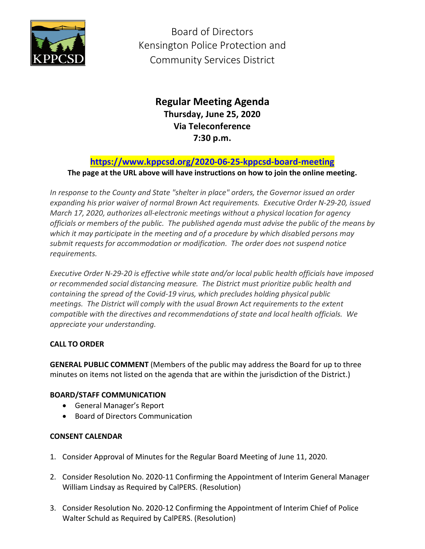

Board of Directors Kensington Police Protection and Community Services District

# **Regular Meeting Agenda Thursday, June 25, 2020 Via Teleconference 7:30 p.m.**

# **<https://www.kppcsd.org/2020-06-25-kppcsd-board-meeting>**

**The page at the URL above will have instructions on how to join the online meeting.**

*In response to the County and State "shelter in place" orders, the Governor issued an order expanding his prior waiver of normal Brown Act requirements. Executive Order N-29-20, issued March 17, 2020, authorizes all-electronic meetings without a physical location for agency officials or members of the public. The published agenda must advise the public of the means by which it may participate in the meeting and of a procedure by which disabled persons may submit requests for accommodation or modification. The order does not suspend notice requirements.* 

*Executive Order N-29-20 is effective while state and/or local public health officials have imposed or recommended social distancing measure. The District must prioritize public health and containing the spread of the Covid-19 virus, which precludes holding physical public meetings. The District will comply with the usual Brown Act requirements to the extent compatible with the directives and recommendations of state and local health officials. We appreciate your understanding.*

## **CALL TO ORDER**

**GENERAL PUBLIC COMMENT** (Members of the public may address the Board for up to three minutes on items not listed on the agenda that are within the jurisdiction of the District.)

## **BOARD/STAFF COMMUNICATION**

- General Manager's Report
- Board of Directors Communication

## **CONSENT CALENDAR**

- 1. Consider Approval of Minutes for the Regular Board Meeting of June 11, 2020.
- 2. Consider Resolution No. 2020-11 Confirming the Appointment of Interim General Manager William Lindsay as Required by CalPERS. (Resolution)
- 3. Consider Resolution No. 2020-12 Confirming the Appointment of Interim Chief of Police Walter Schuld as Required by CalPERS. (Resolution)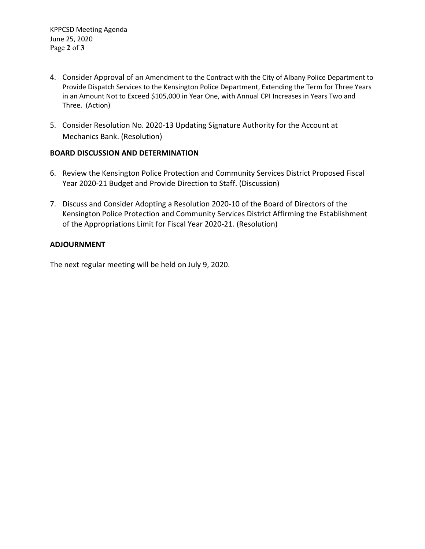- 4. Consider Approval of an Amendment to the Contract with the City of Albany Police Department to Provide Dispatch Services to the Kensington Police Department, Extending the Term for Three Years in an Amount Not to Exceed \$105,000 in Year One, with Annual CPI Increases in Years Two and Three. (Action)
- 5. Consider Resolution No. 2020-13 Updating Signature Authority for the Account at Mechanics Bank. (Resolution)

### **BOARD DISCUSSION AND DETERMINATION**

- 6. Review the Kensington Police Protection and Community Services District Proposed Fiscal Year 2020-21 Budget and Provide Direction to Staff. (Discussion)
- 7. Discuss and Consider Adopting a Resolution 2020-10 of the Board of Directors of the Kensington Police Protection and Community Services District Affirming the Establishment of the Appropriations Limit for Fiscal Year 2020-21. (Resolution)

## **ADJOURNMENT**

The next regular meeting will be held on July 9, 2020.